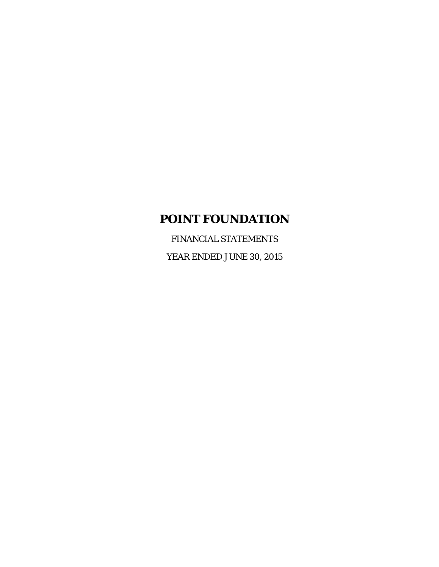FINANCIAL STATEMENTS YEAR ENDED JUNE 30, 2015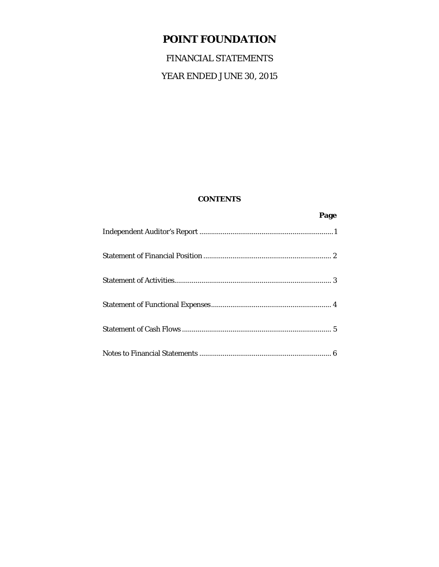FINANCIAL STATEMENTS

YEAR ENDED JUNE 30, 2015

## **CONTENTS**

| Page |  |
|------|--|
|      |  |
|      |  |
|      |  |
|      |  |
|      |  |
|      |  |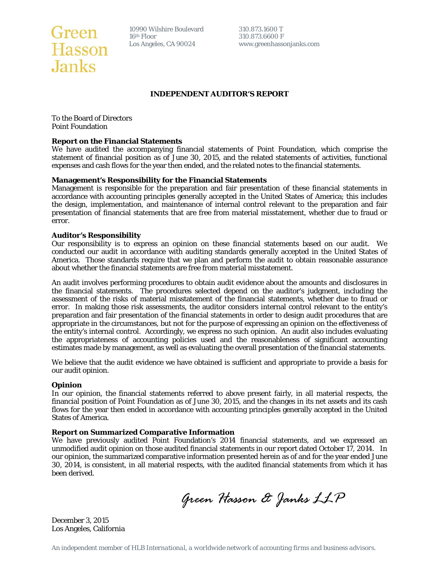

10990 Wilshire Boulevard 310.873.1600 T<br>16<sup>th</sup> Floor 310.873.6600 F **16th Floor** 310.873.6600 F

Los Angeles, CA 90024 www.greenhassonjanks.com

## **INDEPENDENT AUDITOR'S REPORT**

To the Board of Directors Point Foundation

### **Report on the Financial Statements**

We have audited the accompanying financial statements of Point Foundation, which comprise the statement of financial position as of June 30, 2015, and the related statements of activities, functional expenses and cash flows for the year then ended, and the related notes to the financial statements.

#### **Management's Responsibility for the Financial Statements**

Management is responsible for the preparation and fair presentation of these financial statements in accordance with accounting principles generally accepted in the United States of America; this includes the design, implementation, and maintenance of internal control relevant to the preparation and fair presentation of financial statements that are free from material misstatement, whether due to fraud or error.

#### **Auditor's Responsibility**

Our responsibility is to express an opinion on these financial statements based on our audit. We conducted our audit in accordance with auditing standards generally accepted in the United States of America. Those standards require that we plan and perform the audit to obtain reasonable assurance about whether the financial statements are free from material misstatement.

An audit involves performing procedures to obtain audit evidence about the amounts and disclosures in the financial statements. The procedures selected depend on the auditor's judgment, including the assessment of the risks of material misstatement of the financial statements, whether due to fraud or error. In making those risk assessments, the auditor considers internal control relevant to the entity's preparation and fair presentation of the financial statements in order to design audit procedures that are appropriate in the circumstances, but not for the purpose of expressing an opinion on the effectiveness of the entity's internal control. Accordingly, we express no such opinion. An audit also includes evaluating the appropriateness of accounting policies used and the reasonableness of significant accounting estimates made by management, as well as evaluating the overall presentation of the financial statements.

We believe that the audit evidence we have obtained is sufficient and appropriate to provide a basis for our audit opinion.

#### **Opinion**

In our opinion, the financial statements referred to above present fairly, in all material respects, the financial position of Point Foundation as of June 30, 2015, and the changes in its net assets and its cash flows for the year then ended in accordance with accounting principles generally accepted in the United States of America.

#### **Report on Summarized Comparative Information**

We have previously audited Point Foundation's 2014 financial statements, and we expressed an unmodified audit opinion on those audited financial statements in our report dated October 17, 2014. In our opinion, the summarized comparative information presented herein as of and for the year ended June 30, 2014, is consistent, in all material respects, with the audited financial statements from which it has been derived.

*Green Hasson & Janks LLP* 

December 3, 2015 Los Angeles, California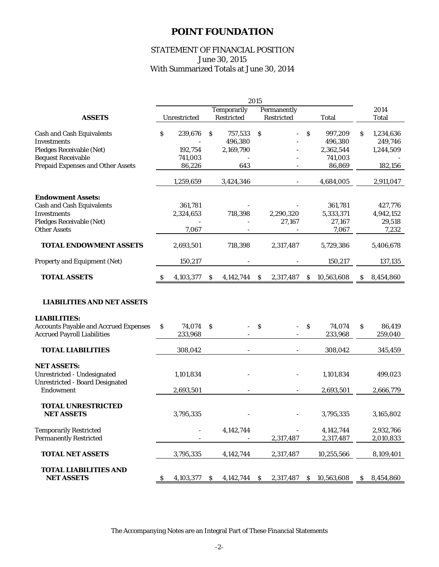## STATEMENT OF FINANCIAL POSITION June 30, 2015 With Summarized Totals at June 30, 2014

| 2015                                                |    |              |                            |            |              |            |    |              |     |              |
|-----------------------------------------------------|----|--------------|----------------------------|------------|--------------|------------|----|--------------|-----|--------------|
|                                                     |    |              | Temporarily<br>Permanently |            |              |            |    |              |     | 2014         |
| <b>ASSETS</b>                                       |    | Unrestricted |                            | Restricted |              | Restricted |    | <b>Total</b> |     | <b>Total</b> |
| <b>Cash and Cash Equivalents</b>                    | \$ | 239,676      | S                          | 757,533    | \$           |            | S  | 997,209      | \$. | 1,234,636    |
| <b>Investments</b>                                  |    |              |                            | 496,380    |              |            |    | 496,380      |     | 249,746      |
| Pledges Receivable (Net)                            |    | 192,754      |                            | 2,169,790  |              |            |    | 2,362,544    |     | 1,244,509    |
| <b>Bequest Receivable</b>                           |    | 741,003      |                            |            |              |            |    | 741,003      |     |              |
| <b>Prepaid Expenses and Other Assets</b>            |    | 86,226       |                            | 643        |              |            |    |              |     |              |
|                                                     |    |              |                            |            |              |            |    | 86,869       |     | 182,156      |
|                                                     |    | 1,259,659    |                            | 3,424,346  |              |            |    | 4,684,005    |     | 2,911,047    |
| <b>Endowment Assets:</b>                            |    |              |                            |            |              |            |    |              |     |              |
| <b>Cash and Cash Equivalents</b>                    |    | 361,781      |                            |            |              |            |    | 361,781      |     | 427,776      |
| <b>Investments</b>                                  |    | 2,324,653    |                            | 718,398    |              | 2,290,320  |    | 5,333,371    |     | 4,942,152    |
| Pledges Receivable (Net)                            |    |              |                            |            |              | 27,167     |    | 27,167       |     | 29,518       |
| <b>Other Assets</b>                                 |    | 7,067        |                            |            |              |            |    | 7,067        |     | 7,232        |
| <b>TOTAL ENDOWMENT ASSETS</b>                       |    | 2,693,501    |                            | 718,398    |              | 2,317,487  |    | 5,729,386    |     | 5,406,678    |
| Property and Equipment (Net)                        |    | 150,217      |                            |            |              |            |    | 150,217      |     | 137,135      |
| <b>TOTAL ASSETS</b>                                 |    | 4,103,377    | S                          | 4,142,744  | <sub>S</sub> | 2,317,487  | S. | 10,563,608   | S   | 8,454,860    |
| <b>LIABILITIES AND NET ASSETS</b>                   |    |              |                            |            |              |            |    |              |     |              |
| <b>LIABILITIES:</b>                                 |    |              |                            |            |              |            |    |              |     |              |
| <b>Accounts Payable and Accrued Expenses</b>        | S  | 74,074       | <sub>S</sub>               |            | \$           |            | S  | 74,074       | \$  | 86,419       |
| <b>Accrued Payroll Liabilities</b>                  |    | 233,968      |                            |            |              |            |    | 233,968      |     | 259,040      |
| <b>TOTAL LIABILITIES</b>                            |    | 308,042      |                            |            |              |            |    | 308,042      |     | 345,459      |
|                                                     |    |              |                            |            |              |            |    |              |     |              |
| <b>NET ASSETS:</b>                                  |    |              |                            |            |              |            |    |              |     |              |
| Unrestricted - Undesignated                         |    | 1,101,834    |                            |            |              |            |    | 1,101,834    |     | 499,023      |
| <b>Unrestricted - Board Designated</b><br>Endowment |    | 2,693,501    |                            |            |              |            |    | 2,693,501    |     | 2,666,779    |
|                                                     |    |              |                            |            |              |            |    |              |     |              |
| <b>TOTAL UNRESTRICTED</b><br><b>NET ASSETS</b>      |    | 3,795,335    |                            |            |              |            |    | 3,795,335    |     | 3,165,802    |
| <b>Temporarily Restricted</b>                       |    |              |                            | 4,142,744  |              |            |    | 4,142,744    |     | 2,932,766    |
| <b>Permanently Restricted</b>                       |    |              |                            |            |              | 2,317,487  |    | 2,317,487    |     | 2,010,833    |
| <b>TOTAL NET ASSETS</b>                             |    | 3,795,335    |                            | 4,142,744  |              | 2,317,487  |    | 10,255,566   |     | 8,109,401    |
|                                                     |    |              |                            |            |              |            |    |              |     |              |
| <b>TOTAL LIABILITIES AND</b><br><b>NET ASSETS</b>   | S  | 4,103,377    | <b>S</b>                   | 4,142,744  | <sub>S</sub> | 2,317,487  | S. | 10,563,608   | Ş.  | 8,454,860    |

The Accompanying Notes are an Integral Part of These Financial Statements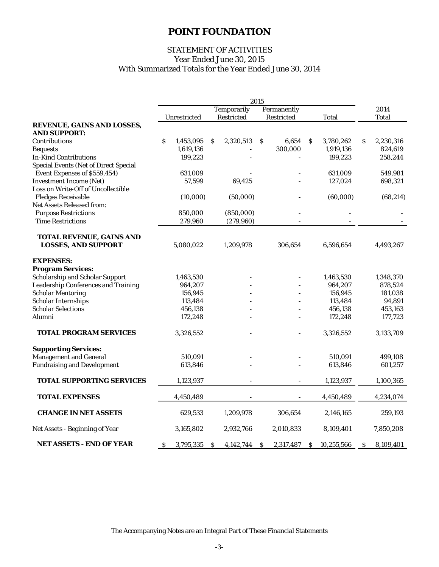## With Summarized Totals for the Year Ended June 30, 2014 Year Ended June 30, 2015 STATEMENT OF ACTIVITIES

|                                              | 2015 |              |               |             |              |                |   |            |    |              |
|----------------------------------------------|------|--------------|---------------|-------------|--------------|----------------|---|------------|----|--------------|
|                                              |      |              |               | Temporarily |              | Permanently    |   |            |    | 2014         |
|                                              |      | Unrestricted |               | Restricted  |              | Restricted     |   | Total      |    | <b>Total</b> |
| REVENUE, GAINS AND LOSSES,                   |      |              |               |             |              |                |   |            |    |              |
| <b>AND SUPPORT:</b>                          |      |              |               |             |              |                |   |            |    |              |
| Contributions                                | S    | 1,453,095    | S.            | 2,320,513   | S            | 6,654          | S | 3,780,262  | \$ | 2,230,316    |
| <b>Bequests</b>                              |      | 1,619,136    |               |             |              | 300,000        |   | 1,919,136  |    | 824,619      |
| <b>In-Kind Contributions</b>                 |      | 199,223      |               |             |              |                |   | 199,223    |    | 258,244      |
| <b>Special Events (Net of Direct Special</b> |      |              |               |             |              |                |   |            |    |              |
| Event Expenses of \$559,454)                 |      | 631,009      |               |             |              |                |   | 631,009    |    | 549,981      |
| <b>Investment Income (Net)</b>               |      | 57,599       |               | 69,425      |              |                |   | 127,024    |    | 698,321      |
| Loss on Write-Off of Uncollectible           |      |              |               |             |              |                |   |            |    |              |
| <b>Pledges Receivable</b>                    |      | (10,000)     |               | (50,000)    |              |                |   | (60,000)   |    | (68, 214)    |
| Net Assets Released from:                    |      |              |               |             |              |                |   |            |    |              |
| <b>Purpose Restrictions</b>                  |      | 850,000      |               | (850,000)   |              |                |   |            |    |              |
| <b>Time Restrictions</b>                     |      | 279,960      |               | (279, 960)  |              | $\overline{a}$ |   |            |    |              |
| <b>TOTAL REVENUE, GAINS AND</b>              |      |              |               |             |              |                |   |            |    |              |
| <b>LOSSES, AND SUPPORT</b>                   |      | 5,080,022    |               | 1,209,978   |              | 306,654        |   | 6,596,654  |    | 4,493,267    |
| <b>EXPENSES:</b>                             |      |              |               |             |              |                |   |            |    |              |
| <b>Program Services:</b>                     |      |              |               |             |              |                |   |            |    |              |
| <b>Scholarship and Scholar Support</b>       |      | 1,463,530    |               |             |              |                |   | 1,463,530  |    | 1,348,370    |
| <b>Leadership Conferences and Training</b>   |      | 964,207      |               |             |              |                |   | 964,207    |    | 878,524      |
| <b>Scholar Mentoring</b>                     |      | 156,945      |               |             |              |                |   | 156,945    |    | 181,038      |
| <b>Scholar Internships</b>                   |      | 113,484      |               |             |              |                |   | 113,484    |    | 94,891       |
| <b>Scholar Selections</b>                    |      | 456,138      |               |             |              |                |   | 456,138    |    | 453,163      |
| Alumni                                       |      | 172,248      |               |             |              |                |   | 172,248    |    | 177,723      |
| <b>TOTAL PROGRAM SERVICES</b>                |      | 3,326,552    |               |             |              |                |   | 3,326,552  |    | 3,133,709    |
| <b>Supporting Services:</b>                  |      |              |               |             |              |                |   |            |    |              |
| <b>Management and General</b>                |      | 510,091      |               |             |              |                |   | 510,091    |    | 499,108      |
| <b>Fundraising and Development</b>           |      | 613,846      |               |             |              |                |   | 613,846    |    | 601,257      |
| TOTAL SUPPORTING SERVICES                    |      | 1,123,937    |               |             |              |                |   | 1,123,937  |    | 1,100,365    |
| <b>TOTAL EXPENSES</b>                        |      | 4,450,489    |               |             |              |                |   | 4,450,489  |    | 4,234,074    |
| <b>CHANGE IN NET ASSETS</b>                  |      | 629,533      |               | 1,209,978   |              | 306,654        |   | 2,146,165  |    | 259,193      |
| Net Assets - Beginning of Year               |      | 3,165,802    |               | 2,932,766   |              | 2,010,833      |   | 8,109,401  |    | 7,850,208    |
| NET ASSETS - END OF YEAR                     | \$   | 3,795,335    | $\mathcal{S}$ | 4,142,744   | <sub>S</sub> | 2,317,487      | S | 10,255,566 | S  | 8,109,401    |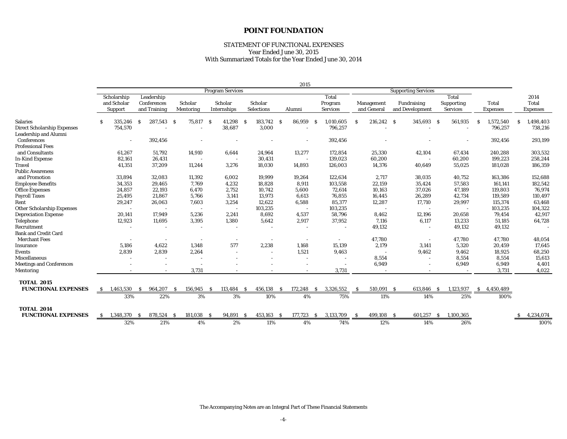#### STATEMENT OF FUNCTIONAL EXPENSES With Summarized Totals for the Year Ended June 30, 2014 Year Ended June 30, 2015

|                                    |    |                          |                         |    |                          |     |                          |     |            |    | 2015    |     |                 |    |             |                            |     |                   |    |                 |                 |
|------------------------------------|----|--------------------------|-------------------------|----|--------------------------|-----|--------------------------|-----|------------|----|---------|-----|-----------------|----|-------------|----------------------------|-----|-------------------|----|-----------------|-----------------|
|                                    |    |                          |                         |    |                          |     | <b>Program Services</b>  |     |            |    |         |     |                 |    |             | <b>Supporting Services</b> |     |                   |    |                 |                 |
|                                    |    | Scholarship              | Leadership              |    |                          |     |                          |     |            |    |         |     | <b>Total</b>    |    |             |                            |     | Total             |    |                 | 2014            |
|                                    |    | and Scholar              | Conferences             |    | Scholar                  |     | Scholar                  |     | Scholar    |    |         |     | Program         |    | Management  | Fundraising                |     | <b>Supporting</b> |    | Total           | Total           |
|                                    |    | Support                  | and Training            |    | Mentoring                |     | Internships              |     | Selections |    | Alumni  |     | <b>Services</b> |    | and General | and Development            |     | <b>Services</b>   |    | <b>Expenses</b> | <b>Expenses</b> |
| <b>Salaries</b>                    | Ŝ  | 335,246                  | 287,543 S<br>-S         |    | 75,817                   | - S | 41,298                   | -S  | 183,742    | -S | 86,959  | - S | 1,010,605       | S. | 216,242 \$  | 345,693                    | - S | 561,935           | S. | 1,572,540       | 1,498,403       |
| <b>Direct Scholarship Expenses</b> |    | 754,570                  |                         |    |                          |     | 38,687                   |     | 3,000      |    |         |     | 796,257         |    |             |                            |     |                   |    | 796,257         | 738,216         |
| Leadership and Alumni              |    |                          |                         |    |                          |     |                          |     |            |    |         |     |                 |    |             |                            |     |                   |    |                 |                 |
| Conferences                        |    | $\overline{\phantom{a}}$ | 392,456                 |    |                          |     |                          |     |            |    |         |     | 392,456         |    |             |                            |     |                   |    | 392,456         | 293,199         |
| <b>Professional Fees</b>           |    |                          |                         |    |                          |     |                          |     |            |    |         |     |                 |    |             |                            |     |                   |    |                 |                 |
| and Consultants                    |    | 61,267                   | 51,792                  |    | 14,910                   |     | 6,644                    |     | 24,964     |    | 13,277  |     | 172,854         |    | 25,330      | 42,104                     |     | 67,434            |    | 240,288         | 303,532         |
| <b>In-Kind Expense</b>             |    | 82,161                   | 26,431                  |    |                          |     |                          |     | 30,431     |    |         |     | 139,023         |    | 60,200      | $\overline{a}$             |     | 60,200            |    | 199,223         | 258,244         |
| <b>Travel</b>                      |    | 41,351                   | 37,209                  |    | 11,244                   |     | 3,276                    |     | 18,030     |    | 14,893  |     | 126,003         |    | 14,376      | 40,649                     |     | 55,025            |    | 181,028         | 186,359         |
| <b>Public Awareness</b>            |    |                          |                         |    |                          |     |                          |     |            |    |         |     |                 |    |             |                            |     |                   |    |                 |                 |
| and Promotion                      |    | 33,894                   | 32,083                  |    | 11,392                   |     | 6.002                    |     | 19.999     |    | 19,264  |     | 122,634         |    | 2.717       | 38,035                     |     | 40.752            |    | 163,386         | 152,688         |
| <b>Employee Benefits</b>           |    | 34,353                   | 29,465                  |    | 7,769                    |     | 4,232                    |     | 18,828     |    | 8,911   |     | 103,558         |    | 22,159      | 35,424                     |     | 57,583            |    | 161,141         | 182,542         |
| <b>Office Expenses</b>             |    | 24,857                   | 22,193                  |    | 6,470                    |     | 2,752                    |     | 10.742     |    | 5.600   |     | 72,614          |    | 10,163      | 37,026                     |     | 47,189            |    | 119,803         | 76,974          |
| <b>Payroll Taxes</b>               |    | 25,495                   | 21,867                  |    | 5,766                    |     | 3,141                    |     | 13,973     |    | 6,613   |     | 76,855          |    | 16,445      | 26,289                     |     | 42,734            |    | 119,589         | 110,497         |
| Rent                               |    | 29,247                   | 26,063                  |    | 7,603                    |     | 3,254                    |     | 12,622     |    | 6,588   |     | 85,377          |    | 12,287      | 17,710                     |     | 29,997            |    | 115,374         | 63,468          |
| <b>Other Scholarship Expenses</b>  |    | $\overline{\phantom{a}}$ |                         |    | $\overline{\phantom{a}}$ |     |                          |     | 103,235    |    |         |     | 103,235         |    |             |                            |     |                   |    | 103,235         | 104,322         |
| <b>Depreciation Expense</b>        |    | 20,141                   | 17,949                  |    | 5,236                    |     | 2,241                    |     | 8,692      |    | 4,537   |     | 58,796          |    | 8,462       | 12,196                     |     | 20,658            |    | 79,454          | 42,917          |
| Telephone                          |    | 12,923                   | 11,695                  |    | 3,395                    |     | 1,380                    |     | 5,642      |    | 2,917   |     | 37,952          |    | 7,116       | 6,117                      |     | 13,233            |    | 51,185          | 64,728          |
| Recruitment                        |    |                          |                         |    |                          |     | $\overline{\phantom{0}}$ |     |            |    |         |     |                 |    | 49,132      | $\overline{\phantom{a}}$   |     | 49,132            |    | 49,132          |                 |
| <b>Bank and Credit Card</b>        |    |                          |                         |    |                          |     |                          |     |            |    |         |     |                 |    |             |                            |     |                   |    |                 |                 |
| <b>Merchant Fees</b>               |    |                          |                         |    |                          |     |                          |     |            |    |         |     |                 |    | 47,780      | $\overline{\phantom{a}}$   |     | 47,780            |    | 47,780          | 48,054          |
| Insurance                          |    | 5,186                    | 4,622                   |    | 1,348                    |     | 577                      |     | 2,238      |    | 1,168   |     | 15,139          |    | 2,179       | 3,141                      |     | 5,320             |    | 20,459          | 17,645          |
| Events                             |    | 2,839                    | 2,839                   |    | 2.264                    |     |                          |     |            |    | 1,521   |     | 9,463           |    |             | 9,462                      |     | 9,462             |    | 18,925          | 68,250          |
| <b>Miscellaneous</b>               |    |                          |                         |    |                          |     |                          |     |            |    |         |     |                 |    | 8,554       | $\overline{\phantom{a}}$   |     | 8,554             |    | 8,554           | 15,613          |
| <b>Meetings and Conferences</b>    |    |                          |                         |    |                          |     |                          |     |            |    |         |     |                 |    | 6,949       |                            |     | 6,949             |    | 6,949           | 4,401           |
| Mentoring                          |    |                          |                         |    | 3,731                    |     |                          |     |            |    |         |     | 3,731           |    |             |                            |     |                   |    | 3,731           | 4,022           |
| <b>TOTAL 2015</b>                  |    |                          |                         |    |                          |     |                          |     |            |    |         |     |                 |    |             |                            |     |                   |    |                 |                 |
| <b>FUNCTIONAL EXPENSES</b>         | S. | 1,463,530                | <sub>S</sub><br>964,207 | -S | 156,945                  | -S  | 113,484 \$               |     | 456,138    | -S | 172,248 | - S | 3,326,552       | -S | 510,091 \$  | 613,846                    | - S | 1,123,937         |    | \$4,450,489     |                 |
|                                    |    | 33%                      | 22%                     |    | $3\%$                    |     | 3%                       |     | 10%        |    | 4%      |     | 75%             |    | 11%         | 14%                        |     | 25%               |    | 100%            |                 |
| <b>TOTAL 2014</b>                  |    |                          |                         |    |                          |     |                          |     |            |    |         |     |                 |    |             |                            |     |                   |    |                 |                 |
| <b>FUNCTIONAL EXPENSES</b>         | S. | 1,348,370                | 878,524<br>S.           | -S | 181,038                  | -S  | 94,891                   | - S | 453,163    | -S | 177,723 | -S  | 3,133,709       |    | 499,108 S   | 601,257                    | -S  | 1,100,365         |    |                 | 4,234,074       |
|                                    |    | 32%                      | 21%                     |    | 4%                       |     | 2%                       |     | 11%        |    | 4%      |     | 74%             |    | 12%         | 14%                        |     | 26%               |    |                 | 100%            |

The Accompanying Notes are an Integral Part of These Financial Statements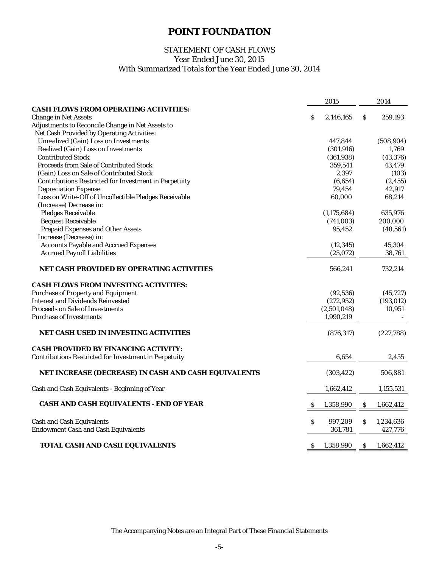## STATEMENT OF CASH FLOWS Year Ended June 30, 2015 With Summarized Totals for the Year Ended June 30, 2014

|                                                              |              | 2015        |              | 2014       |
|--------------------------------------------------------------|--------------|-------------|--------------|------------|
| <b>CASH FLOWS FROM OPERATING ACTIVITIES:</b>                 |              |             |              |            |
| <b>Change in Net Assets</b>                                  | \$           | 2,146,165   | \$           | 259,193    |
| Adjustments to Reconcile Change in Net Assets to             |              |             |              |            |
| Net Cash Provided by Operating Activities:                   |              |             |              |            |
| <b>Unrealized (Gain) Loss on Investments</b>                 |              | 447,844     |              | (508, 904) |
| Realized (Gain) Loss on Investments                          |              | (301, 916)  |              | 1,769      |
| <b>Contributed Stock</b>                                     |              | (361, 938)  |              | (43, 376)  |
| <b>Proceeds from Sale of Contributed Stock</b>               |              | 359,541     |              | 43,479     |
| (Gain) Loss on Sale of Contributed Stock                     |              | 2,397       |              | (103)      |
| <b>Contributions Restricted for Investment in Perpetuity</b> |              | (6, 654)    |              | (2, 455)   |
| <b>Depreciation Expense</b>                                  |              | 79,454      |              | 42,917     |
| Loss on Write-Off of Uncollectible Pledges Receivable        |              | 60,000      |              | 68,214     |
| (Increase) Decrease in:                                      |              |             |              |            |
| <b>Pledges Receivable</b>                                    |              | (1,175,684) |              | 635,976    |
| <b>Bequest Receivable</b>                                    |              | (741,003)   |              | 200,000    |
| <b>Prepaid Expenses and Other Assets</b>                     |              | 95,452      |              | (48, 561)  |
| Increase (Decrease) in:                                      |              |             |              |            |
| <b>Accounts Payable and Accrued Expenses</b>                 |              | (12, 345)   |              | 45,304     |
| <b>Accrued Payroll Liabilities</b>                           |              | (25,072)    |              | 38,761     |
| NET CASH PROVIDED BY OPERATING ACTIVITIES                    |              | 566,241     |              | 732,214    |
| <b>CASH FLOWS FROM INVESTING ACTIVITIES:</b>                 |              |             |              |            |
| <b>Purchase of Property and Equipment</b>                    |              | (92, 536)   |              | (45, 727)  |
| <b>Interest and Dividends Reinvested</b>                     |              | (272, 952)  |              | (193, 012) |
| <b>Proceeds on Sale of Investments</b>                       |              | (2,501,048) |              | 10,951     |
| <b>Purchase of Investments</b>                               |              | 1,990,219   |              |            |
| NET CASH USED IN INVESTING ACTIVITIES                        |              | (876, 317)  |              | (227, 788) |
| <b>CASH PROVIDED BY FINANCING ACTIVITY:</b>                  |              |             |              |            |
| <b>Contributions Restricted for Investment in Perpetuity</b> |              | 6,654       |              | 2,455      |
| NET INCREASE (DECREASE) IN CASH AND CASH EQUIVALENTS         |              | (303, 422)  |              | 506,881    |
| Cash and Cash Equivalents - Beginning of Year                |              | 1,662,412   |              | 1,155,531  |
| CASH AND CASH EQUIVALENTS - END OF YEAR                      | S            | 1,358,990   | S            | 1,662,412  |
| <b>Cash and Cash Equivalents</b>                             | s            | 997,209     | \$           | 1,234,636  |
| <b>Endowment Cash and Cash Equivalents</b>                   |              | 361,781     |              | 427,776    |
| TOTAL CASH AND CASH EQUIVALENTS                              | <sub>S</sub> | 1,358,990   | <sub>S</sub> | 1,662,412  |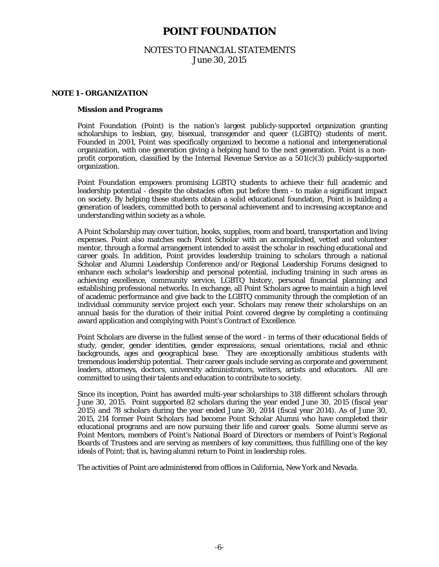## NOTES TO FINANCIAL STATEMENTS June 30, 2015

#### **NOTE 1 - ORGANIZATION**

#### *Mission and Programs*

Point Foundation (Point) is the nation's largest publicly-supported organization granting scholarships to lesbian, gay, bisexual, transgender and queer (LGBTQ) students of merit. Founded in 2001, Point was specifically organized to become a national and intergenerational organization, with one generation giving a helping hand to the next generation. Point is a nonprofit corporation, classified by the Internal Revenue Service as a  $501(c)(3)$  publicly-supported organization.

Point Foundation empowers promising LGBTQ students to achieve their full academic and leadership potential - despite the obstacles often put before them - to make a significant impact on society. By helping these students obtain a solid educational foundation, Point is building a generation of leaders, committed both to personal achievement and to increasing acceptance and understanding within society as a whole.

A Point Scholarship may cover tuition, books, supplies, room and board, transportation and living expenses. Point also matches each Point Scholar with an accomplished, vetted and volunteer mentor, through a formal arrangement intended to assist the scholar in reaching educational and career goals. In addition, Point provides leadership training to scholars through a national Scholar and Alumni Leadership Conference and/or Regional Leadership Forums designed to enhance each scholar's leadership and personal potential, including training in such areas as achieving excellence, community service, LGBTQ history, personal financial planning and establishing professional networks. In exchange, all Point Scholars agree to maintain a high level of academic performance and give back to the LGBTQ community through the completion of an individual community service project each year. Scholars may renew their scholarships on an annual basis for the duration of their initial Point covered degree by completing a continuing award application and complying with Point's Contract of Excellence.

Point Scholars are diverse in the fullest sense of the word - in terms of their educational fields of study, gender, gender identities, gender expressions, sexual orientations, racial and ethnic backgrounds, ages and geographical base. They are exceptionally ambitious students with tremendous leadership potential. Their career goals include serving as corporate and government leaders, attorneys, doctors, university administrators, writers, artists and educators. All are committed to using their talents and education to contribute to society.

Since its inception, Point has awarded multi-year scholarships to 318 different scholars through June 30, 2015. Point supported 82 scholars during the year ended June 30, 2015 (fiscal year 2015) and 78 scholars during the year ended June 30, 2014 (fiscal year 2014). As of June 30, 2015, 214 former Point Scholars had become Point Scholar Alumni who have completed their educational programs and are now pursuing their life and career goals. Some alumni serve as Point Mentors, members of Point's National Board of Directors or members of Point's Regional Boards of Trustees and are serving as members of key committees, thus fulfilling one of the key ideals of Point; that is, having alumni return to Point in leadership roles.

The activities of Point are administered from offices in California, New York and Nevada.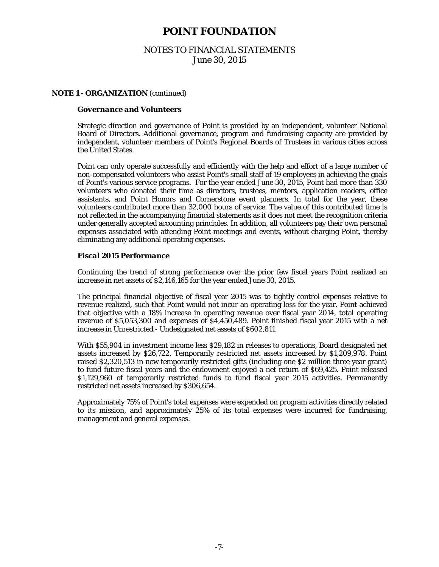## NOTES TO FINANCIAL STATEMENTS June 30, 2015

#### **NOTE 1 - ORGANIZATION** (continued)

#### *Governance and Volunteers*

Strategic direction and governance of Point is provided by an independent, volunteer National Board of Directors. Additional governance, program and fundraising capacity are provided by independent, volunteer members of Point's Regional Boards of Trustees in various cities across the United States.

Point can only operate successfully and efficiently with the help and effort of a large number of non-compensated volunteers who assist Point's small staff of 19 employees in achieving the goals of Point's various service programs. For the year ended June 30, 2015, Point had more than 330 volunteers who donated their time as directors, trustees, mentors, application readers, office assistants, and Point Honors and Cornerstone event planners. In total for the year, these volunteers contributed more than 32,000 hours of service. The value of this contributed time is not reflected in the accompanying financial statements as it does not meet the recognition criteria under generally accepted accounting principles. In addition, all volunteers pay their own personal expenses associated with attending Point meetings and events, without charging Point, thereby eliminating any additional operating expenses.

### *Fiscal 2015 Performance*

Continuing the trend of strong performance over the prior few fiscal years Point realized an increase in net assets of \$2,146,165 for the year ended June 30, 2015.

The principal financial objective of fiscal year 2015 was to tightly control expenses relative to revenue realized, such that Point would not incur an operating loss for the year. Point achieved that objective with a 18% increase in operating revenue over fiscal year 2014, total operating revenue of \$5,053,300 and expenses of \$4,450,489. Point finished fiscal year 2015 with a net increase in Unrestricted - Undesignated net assets of \$602,811.

With \$55,904 in investment income less \$29,182 in releases to operations, Board designated net assets increased by \$26,722. Temporarily restricted net assets increased by \$1,209,978. Point raised \$2,320,513 in new temporarily restricted gifts (including one \$2 million three year grant) to fund future fiscal years and the endowment enjoyed a net return of \$69,425. Point released \$1,129,960 of temporarily restricted funds to fund fiscal year 2015 activities. Permanently restricted net assets increased by \$306,654.

Approximately 75% of Point's total expenses were expended on program activities directly related to its mission, and approximately 25% of its total expenses were incurred for fundraising, management and general expenses.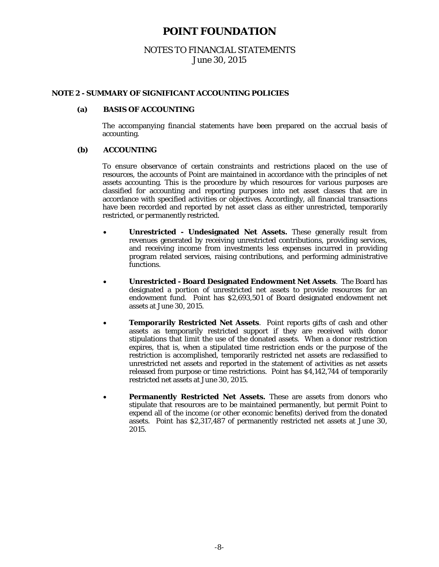## NOTES TO FINANCIAL STATEMENTS June 30, 2015

## **NOTE 2 - SUMMARY OF SIGNIFICANT ACCOUNTING POLICIES**

## **(a) BASIS OF ACCOUNTING**

 The accompanying financial statements have been prepared on the accrual basis of accounting.

## **(b) ACCOUNTING**

To ensure observance of certain constraints and restrictions placed on the use of resources, the accounts of Point are maintained in accordance with the principles of net assets accounting. This is the procedure by which resources for various purposes are classified for accounting and reporting purposes into net asset classes that are in accordance with specified activities or objectives. Accordingly, all financial transactions have been recorded and reported by net asset class as either unrestricted, temporarily restricted, or permanently restricted.

- **Unrestricted Undesignated Net Assets.** These generally result from revenues generated by receiving unrestricted contributions, providing services, and receiving income from investments less expenses incurred in providing program related services, raising contributions, and performing administrative functions.
- **Unrestricted Board Designated Endowment Net Assets**. The Board has designated a portion of unrestricted net assets to provide resources for an endowment fund. Point has \$2,693,501 of Board designated endowment net assets at June 30, 2015.
- **Temporarily Restricted Net Assets**. Point reports gifts of cash and other assets as temporarily restricted support if they are received with donor stipulations that limit the use of the donated assets. When a donor restriction expires, that is, when a stipulated time restriction ends or the purpose of the restriction is accomplished, temporarily restricted net assets are reclassified to unrestricted net assets and reported in the statement of activities as net assets released from purpose or time restrictions. Point has \$4,142,744 of temporarily restricted net assets at June 30, 2015.
- **Permanently Restricted Net Assets.** These are assets from donors who stipulate that resources are to be maintained permanently, but permit Point to expend all of the income (or other economic benefits) derived from the donated assets. Point has \$2,317,487 of permanently restricted net assets at June 30, 2015.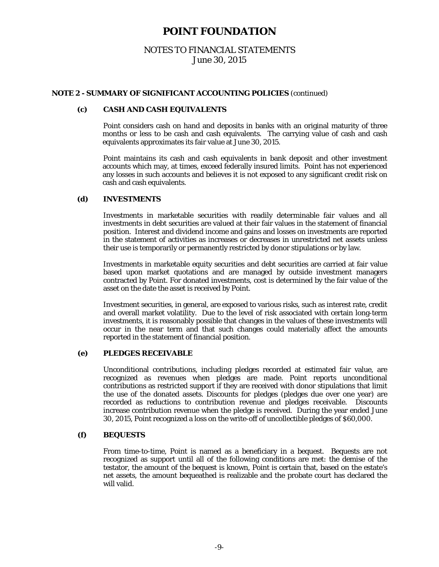## NOTES TO FINANCIAL STATEMENTS June 30, 2015

### **NOTE 2 - SUMMARY OF SIGNIFICANT ACCOUNTING POLICIES** (continued)

## **(c) CASH AND CASH EQUIVALENTS**

Point considers cash on hand and deposits in banks with an original maturity of three months or less to be cash and cash equivalents. The carrying value of cash and cash equivalents approximates its fair value at June 30, 2015.

Point maintains its cash and cash equivalents in bank deposit and other investment accounts which may, at times, exceed federally insured limits. Point has not experienced any losses in such accounts and believes it is not exposed to any significant credit risk on cash and cash equivalents.

## **(d) INVESTMENTS**

Investments in marketable securities with readily determinable fair values and all investments in debt securities are valued at their fair values in the statement of financial position. Interest and dividend income and gains and losses on investments are reported in the statement of activities as increases or decreases in unrestricted net assets unless their use is temporarily or permanently restricted by donor stipulations or by law.

Investments in marketable equity securities and debt securities are carried at fair value based upon market quotations and are managed by outside investment managers contracted by Point. For donated investments, cost is determined by the fair value of the asset on the date the asset is received by Point.

Investment securities, in general, are exposed to various risks, such as interest rate, credit and overall market volatility. Due to the level of risk associated with certain long-term investments, it is reasonably possible that changes in the values of these investments will occur in the near term and that such changes could materially affect the amounts reported in the statement of financial position.

### **(e) PLEDGES RECEIVABLE**

Unconditional contributions, including pledges recorded at estimated fair value, are recognized as revenues when pledges are made. Point reports unconditional contributions as restricted support if they are received with donor stipulations that limit the use of the donated assets. Discounts for pledges (pledges due over one year) are recorded as reductions to contribution revenue and pledges receivable. Discounts increase contribution revenue when the pledge is received. During the year ended June 30, 2015, Point recognized a loss on the write-off of uncollectible pledges of \$60,000.

## **(f) BEQUESTS**

From time-to-time, Point is named as a beneficiary in a bequest. Bequests are not recognized as support until all of the following conditions are met: the demise of the testator, the amount of the bequest is known, Point is certain that, based on the estate's net assets, the amount bequeathed is realizable and the probate court has declared the will valid.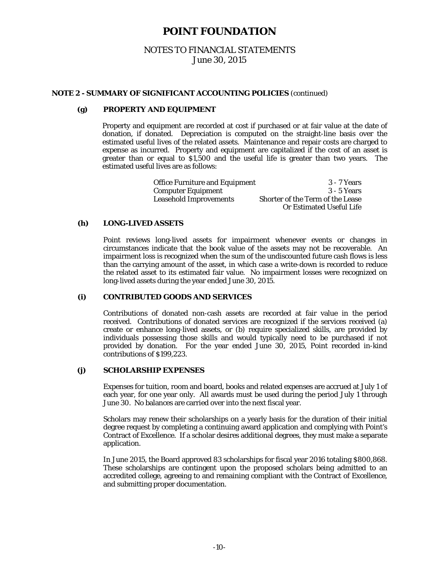## NOTES TO FINANCIAL STATEMENTS June 30, 2015

### **NOTE 2 - SUMMARY OF SIGNIFICANT ACCOUNTING POLICIES** (continued)

### **(g) PROPERTY AND EQUIPMENT**

 Property and equipment are recorded at cost if purchased or at fair value at the date of donation, if donated. Depreciation is computed on the straight-line basis over the estimated useful lives of the related assets. Maintenance and repair costs are charged to expense as incurred. Property and equipment are capitalized if the cost of an asset is greater than or equal to \$1,500 and the useful life is greater than two years. The estimated useful lives are as follows:

| <b>Office Furniture and Equipment</b> | 3 - 7 Years                      |
|---------------------------------------|----------------------------------|
| <b>Computer Equipment</b>             | - 3 - 5 Years                    |
| <b>Leasehold Improvements</b>         | Shorter of the Term of the Lease |
|                                       | Or Estimated Useful Life         |

#### **(h) LONG-LIVED ASSETS**

Point reviews long-lived assets for impairment whenever events or changes in circumstances indicate that the book value of the assets may not be recoverable. An impairment loss is recognized when the sum of the undiscounted future cash flows is less than the carrying amount of the asset, in which case a write-down is recorded to reduce the related asset to its estimated fair value. No impairment losses were recognized on long-lived assets during the year ended June 30, 2015.

#### **(i) CONTRIBUTED GOODS AND SERVICES**

Contributions of donated non-cash assets are recorded at fair value in the period received. Contributions of donated services are recognized if the services received (a) create or enhance long-lived assets, or (b) require specialized skills, are provided by individuals possessing those skills and would typically need to be purchased if not provided by donation. For the year ended June 30, 2015, Point recorded in-kind contributions of \$199,223.

#### **(j) SCHOLARSHIP EXPENSES**

Expenses for tuition, room and board, books and related expenses are accrued at July 1 of each year, for one year only. All awards must be used during the period July 1 through June 30. No balances are carried over into the next fiscal year.

Scholars may renew their scholarships on a yearly basis for the duration of their initial degree request by completing a continuing award application and complying with Point's Contract of Excellence. If a scholar desires additional degrees, they must make a separate application.

In June 2015, the Board approved 83 scholarships for fiscal year 2016 totaling \$800,868. These scholarships are contingent upon the proposed scholars being admitted to an accredited college, agreeing to and remaining compliant with the Contract of Excellence, and submitting proper documentation.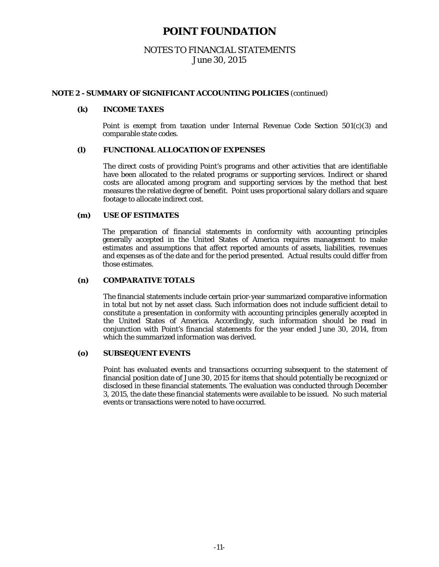## NOTES TO FINANCIAL STATEMENTS June 30, 2015

### **NOTE 2 - SUMMARY OF SIGNIFICANT ACCOUNTING POLICIES** (continued)

### **(k) INCOME TAXES**

 Point is exempt from taxation under Internal Revenue Code Section 501(c)(3) and comparable state codes.

## **(l) FUNCTIONAL ALLOCATION OF EXPENSES**

The direct costs of providing Point's programs and other activities that are identifiable have been allocated to the related programs or supporting services. Indirect or shared costs are allocated among program and supporting services by the method that best measures the relative degree of benefit. Point uses proportional salary dollars and square footage to allocate indirect cost.

#### **(m) USE OF ESTIMATES**

The preparation of financial statements in conformity with accounting principles generally accepted in the United States of America requires management to make estimates and assumptions that affect reported amounts of assets, liabilities, revenues and expenses as of the date and for the period presented. Actual results could differ from those estimates.

## **(n) COMPARATIVE TOTALS**

The financial statements include certain prior-year summarized comparative information in total but not by net asset class. Such information does not include sufficient detail to constitute a presentation in conformity with accounting principles generally accepted in the United States of America. Accordingly, such information should be read in conjunction with Point's financial statements for the year ended June 30, 2014, from which the summarized information was derived.

### **(o) SUBSEQUENT EVENTS**

Point has evaluated events and transactions occurring subsequent to the statement of financial position date of June 30, 2015 for items that should potentially be recognized or disclosed in these financial statements. The evaluation was conducted through December 3, 2015, the date these financial statements were available to be issued. No such material events or transactions were noted to have occurred.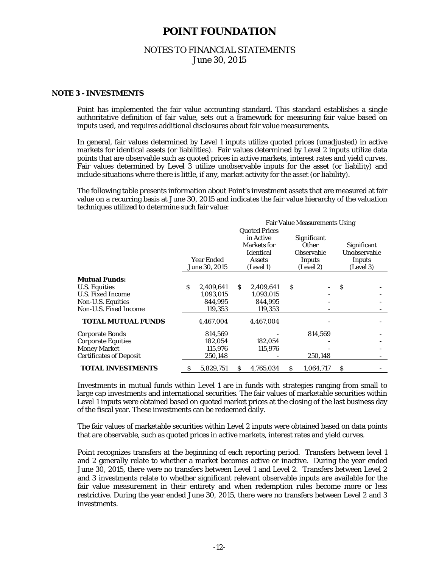## NOTES TO FINANCIAL STATEMENTS June 30, 2015

#### **NOTE 3 - INVESTMENTS**

 Point has implemented the fair value accounting standard. This standard establishes a single authoritative definition of fair value, sets out a framework for measuring fair value based on inputs used, and requires additional disclosures about fair value measurements.

 In general, fair values determined by Level 1 inputs utilize quoted prices (unadjusted) in active markets for identical assets (or liabilities). Fair values determined by Level 2 inputs utilize data points that are observable such as quoted prices in active markets, interest rates and yield curves. Fair values determined by Level 3 utilize unobservable inputs for the asset (or liability) and include situations where there is little, if any, market activity for the asset (or liability).

The following table presents information about Point's investment assets that are measured at fair value on a recurring basis at June 30, 2015 and indicates the fair value hierarchy of the valuation techniques utilized to determine such fair value:

|                                |    |               | <b>Fair Value Measurements Using</b> |                      |   |                   |           |              |  |
|--------------------------------|----|---------------|--------------------------------------|----------------------|---|-------------------|-----------|--------------|--|
|                                |    |               |                                      | <b>Quoted Prices</b> |   |                   |           |              |  |
|                                |    |               |                                      | in Active            |   | Significant       |           |              |  |
|                                |    |               |                                      | <b>Markets</b> for   |   | <b>Other</b>      |           | Significant  |  |
|                                |    |               |                                      | Identical            |   | <b>Observable</b> |           | Unobservable |  |
|                                |    | Year Ended    |                                      | <b>Assets</b>        |   | Inputs            | Inputs    |              |  |
|                                |    | June 30, 2015 | (Level 1)                            |                      |   | (Level 2)         | (Level 3) |              |  |
| <b>Mutual Funds:</b>           |    |               |                                      |                      |   |                   |           |              |  |
| <b>U.S. Equities</b>           | S. | 2,409,641     | S.                                   | 2.409.641            | S |                   | S         |              |  |
| <b>U.S. Fixed Income</b>       |    | 1,093,015     |                                      | 1,093,015            |   |                   |           |              |  |
| Non-U.S. Equities              |    | 844,995       |                                      | 844,995              |   |                   |           |              |  |
| Non-U.S. Fixed Income          |    | 119,353       |                                      | 119,353              |   |                   |           |              |  |
| <b>TOTAL MUTUAL FUNDS</b>      |    | 4,467,004     |                                      | 4,467,004            |   |                   |           |              |  |
| <b>Corporate Bonds</b>         |    | 814,569       |                                      |                      |   | 814,569           |           |              |  |
| <b>Corporate Equities</b>      |    | 182,054       |                                      | 182,054              |   |                   |           |              |  |
| <b>Money Market</b>            |    | 115,976       |                                      | 115,976              |   |                   |           |              |  |
| <b>Certificates of Deposit</b> |    | 250,148       |                                      |                      |   | 250,148           |           |              |  |
| <b>TOTAL INVESTMENTS</b>       | s  | 5,829,751     | S                                    | 4,765,034            | S | 1,064,717         | s         |              |  |

Investments in mutual funds within Level 1 are in funds with strategies ranging from small to large cap investments and international securities. The fair values of marketable securities within Level 1 inputs were obtained based on quoted market prices at the closing of the last business day of the fiscal year. These investments can be redeemed daily.

 The fair values of marketable securities within Level 2 inputs were obtained based on data points that are observable, such as quoted prices in active markets, interest rates and yield curves.

 Point recognizes transfers at the beginning of each reporting period. Transfers between level 1 and 2 generally relate to whether a market becomes active or inactive. During the year ended June 30, 2015, there were no transfers between Level 1 and Level 2. Transfers between Level 2 and 3 investments relate to whether significant relevant observable inputs are available for the fair value measurement in their entirety and when redemption rules become more or less restrictive. During the year ended June 30, 2015, there were no transfers between Level 2 and 3 investments.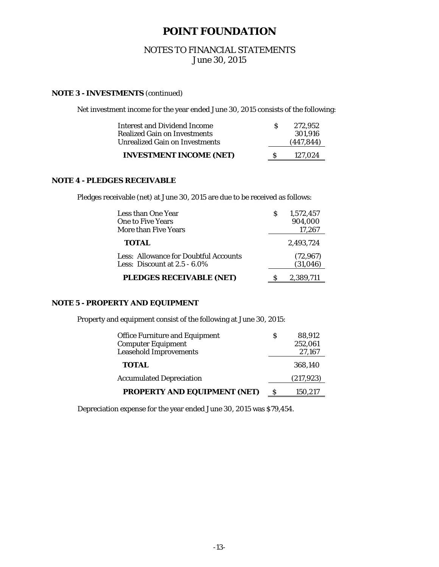## NOTES TO FINANCIAL STATEMENTS June 30, 2015

## **NOTE 3 - INVESTMENTS** (continued)

Net investment income for the year ended June 30, 2015 consists of the following:

| Interest and Dividend Income          | 272.952    |
|---------------------------------------|------------|
| <b>Realized Gain on Investments</b>   | 301,916    |
| <b>Unrealized Gain on Investments</b> | (447, 844) |
| <b>INVESTMENT INCOME (NET)</b>        | 127.024    |

### **NOTE 4 - PLEDGES RECEIVABLE**

Pledges receivable (net) at June 30, 2015 are due to be received as follows:

| Less than One Year                    | 1,572,457 |
|---------------------------------------|-----------|
| <b>One to Five Years</b>              | 904,000   |
| More than Five Years                  | 17,267    |
| <i><b>TOTAL</b></i>                   | 2,493,724 |
| Less: Allowance for Doubtful Accounts | (72, 967) |
| Less: Discount at $2.5 - 6.0\%$       | (31,046)  |
| <b>PLEDGES RECEIVABLE (NET)</b>       | 2,389,711 |

## **NOTE 5 - PROPERTY AND EQUIPMENT**

Property and equipment consist of the following at June 30, 2015:

| <b>Office Furniture and Equipment</b> | S | 88.912     |
|---------------------------------------|---|------------|
| <b>Computer Equipment</b>             |   | 252,061    |
| <b>Leasehold Improvements</b>         |   | 27,167     |
| <b>TOTAL</b>                          |   | 368,140    |
| <b>Accumulated Depreciation</b>       |   | (217, 923) |
| <b>PROPERTY AND EQUIPMENT (NET)</b>   |   | 150,217    |

Depreciation expense for the year ended June 30, 2015 was \$79,454.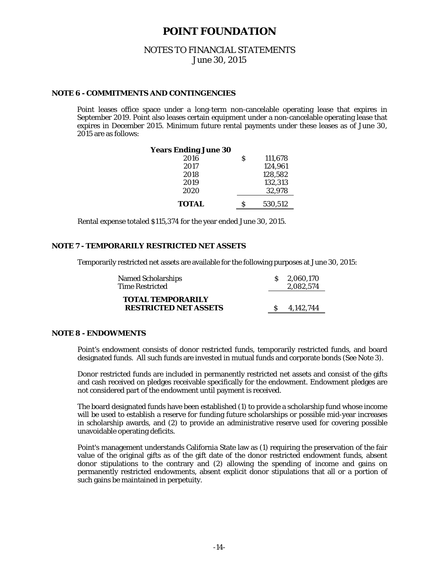## NOTES TO FINANCIAL STATEMENTS June 30, 2015

#### **NOTE 6 - COMMITMENTS AND CONTINGENCIES**

 Point leases office space under a long-term non-cancelable operating lease that expires in September 2019. Point also leases certain equipment under a non-cancelable operating lease that expires in December 2015. Minimum future rental payments under these leases as of June 30, 2015 are as follows:

| <b>Years Ending June 30</b> |   |         |
|-----------------------------|---|---------|
| 2016                        | S | 111,678 |
| 2017                        |   | 124,961 |
| 2018                        |   | 128,582 |
| 2019                        |   | 132,313 |
| 2020                        |   | 32,978  |
| <b>TOTAL</b>                | S | 530,512 |

Rental expense totaled \$115,374 for the year ended June 30, 2015.

### **NOTE 7 - TEMPORARILY RESTRICTED NET ASSETS**

Temporarily restricted net assets are available for the following purposes at June 30, 2015:

| Named Scholarships                                       | S 2.060.170 |
|----------------------------------------------------------|-------------|
| <b>Time Restricted</b>                                   | 2.082.574   |
| <b>TOTAL TEMPORARILY</b><br><b>RESTRICTED NET ASSETS</b> | 4.142.744   |

### **NOTE 8 - ENDOWMENTS**

Point's endowment consists of donor restricted funds, temporarily restricted funds, and board designated funds. All such funds are invested in mutual funds and corporate bonds (See Note 3).

Donor restricted funds are included in permanently restricted net assets and consist of the gifts and cash received on pledges receivable specifically for the endowment. Endowment pledges are not considered part of the endowment until payment is received.

The board designated funds have been established (1) to provide a scholarship fund whose income will be used to establish a reserve for funding future scholarships or possible mid-year increases in scholarship awards, and (2) to provide an administrative reserve used for covering possible unavoidable operating deficits.

Point's management understands California State law as (1) requiring the preservation of the fair value of the original gifts as of the gift date of the donor restricted endowment funds, absent donor stipulations to the contrary and (2) allowing the spending of income and gains on permanently restricted endowments, absent explicit donor stipulations that all or a portion of such gains be maintained in perpetuity.